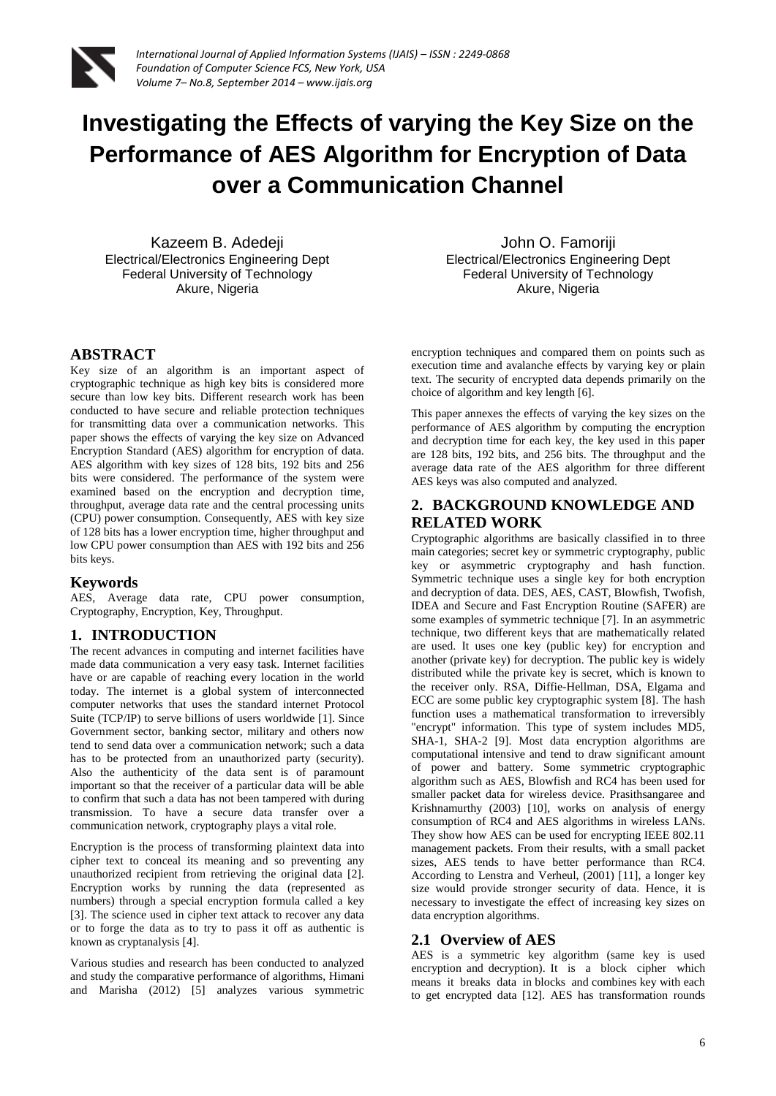

# **Investigating the Effects of varying the Key Size on the Performance of AES Algorithm for Encryption of Data over a Communication Channel**

Kazeem B. Adedeji Electrical/Electronics Engineering Dept Federal University of Technology Akure, Nigeria

# **ABSTRACT**

Key size of an algorithm is an important aspect of cryptographic technique as high key bits is considered more secure than low key bits. Different research work has been conducted to have secure and reliable protection techniques for transmitting data over a communication networks. This paper shows the effects of varying the key size on Advanced Encryption Standard (AES) algorithm for encryption of data. AES algorithm with key sizes of 128 bits, 192 bits and 256 bits were considered. The performance of the system were examined based on the encryption and decryption time, throughput, average data rate and the central processing units (CPU) power consumption. Consequently, AES with key size of 128 bits has a lower encryption time, higher throughput and low CPU power consumption than AES with 192 bits and 256 bits keys.

## **Keywords**

AES, Average data rate, CPU power consumption, Cryptography, Encryption, Key, Throughput.

## **1. INTRODUCTION**

The recent advances in computing and internet facilities have made data communication a very easy task. Internet facilities have or are capable of reaching every location in the world today. The internet is a global system of interconnected computer networks that uses the standard internet Protocol Suite (TCP/IP) to serve billions of users worldwide [1]. Since Government sector, banking sector, military and others now tend to send data over a communication network; such a data has to be protected from an unauthorized party (security). Also the authenticity of the data sent is of paramount important so that the receiver of a particular data will be able to confirm that such a data has not been tampered with during transmission. To have a secure data transfer over a communication network, cryptography plays a vital role.

Encryption is the process of transforming plaintext data into cipher text to conceal its meaning and so preventing any unauthorized recipient from retrieving the original data [2]. Encryption works by running the data (represented as numbers) through a special encryption formula called a key [3]. The science used in cipher text attack to recover any data or to forge the data as to try to pass it off as authentic is known as cryptanalysis [4].

Various studies and research has been conducted to analyzed and study the comparative performance of algorithms, Himani and Marisha (2012) [5] analyzes various symmetric

John O. Famoriji Electrical/Electronics Engineering Dept Federal University of Technology Akure, Nigeria

encryption techniques and compared them on points such as execution time and avalanche effects by varying key or plain text. The security of encrypted data depends primarily on the choice of algorithm and key length [6].

This paper annexes the effects of varying the key sizes on the performance of AES algorithm by computing the encryption and decryption time for each key, the key used in this paper are 128 bits, 192 bits, and 256 bits. The throughput and the average data rate of the AES algorithm for three different AES keys was also computed and analyzed.

# **2. BACKGROUND KNOWLEDGE AND RELATED WORK**

Cryptographic algorithms are basically classified in to three main categories; secret key or symmetric cryptography, public key or asymmetric cryptography and hash function. Symmetric technique uses a single key for both encryption and decryption of data. DES, AES, CAST, Blowfish, Twofish, IDEA and Secure and Fast Encryption Routine (SAFER) are some examples of symmetric technique [7]. In an asymmetric technique, two different keys that are mathematically related are used. It uses one key (public key) for encryption and another (private key) for decryption. The public key is widely distributed while the private key is secret, which is known to the receiver only. RSA, Diffie-Hellman, DSA, Elgama and ECC are some public key cryptographic system [8]. The hash function uses a mathematical transformation to irreversibly "encrypt" information. This type of system includes MD5, SHA-1, SHA-2 [9]. Most data encryption algorithms are computational intensive and tend to draw significant amount of power and battery. Some symmetric cryptographic algorithm such as AES, Blowfish and RC4 has been used for smaller packet data for wireless device. Prasithsangaree and Krishnamurthy (2003) [10], works on analysis of energy consumption of RC4 and AES algorithms in wireless LANs. They show how AES can be used for encrypting IEEE 802.11 management packets. From their results, with a small packet sizes, AES tends to have better performance than RC4. According to Lenstra and Verheul, (2001) [11], a longer key size would provide stronger security of data. Hence, it is necessary to investigate the effect of increasing key sizes on data encryption algorithms.

### **2.1 Overview of AES**

AES is a symmetric key algorithm (same key is used encryption and decryption). It is a block cipher which means it breaks data in blocks and combines key with each to get encrypted data [12]. AES has transformation rounds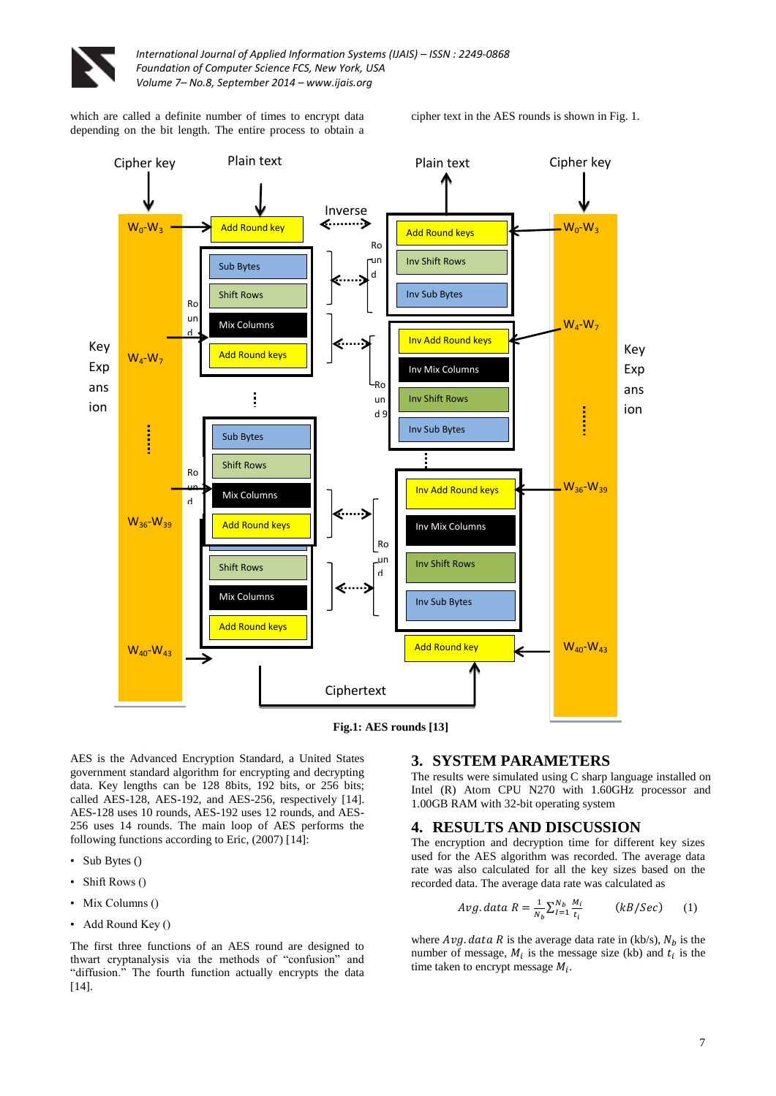

which are called a definite number of times to encrypt data depending on the bit length. The entire process to obtain a cipher text in the AES rounds is shown in Fig. 1.



**Fig.1: AES rounds [13]**

AES is the Advanced Encryption Standard, a United States government standard algorithm for encrypting and decrypting data. Key lengths can be 128 8bits, 192 bits, or 256 bits; called AES-128, AES-192, and AES-256, respectively [14]. AES-128 uses 10 rounds, AES-192 uses 12 rounds, and AES-256 uses 14 rounds. The main loop of AES performs the following functions according to Eric, (2007) [14]:

- Sub Bytes ()
- Shift Rows ()
- Mix Columns ()
- Add Round Key ()

The first three functions of an AES round are designed to thwart cryptanalysis via the methods of "confusion" and "diffusion." The fourth function actually encrypts the data [14].

## **3. SYSTEM PARAMETERS**

The results were simulated using C sharp language installed on 1.00GB RAM with 32-bit operating system Intel (R) Atom CPU N270 with 1.60GHz processor and

## **4. RESULTS AND DISCUSSION**

The encryption and decryption time for different key sizes used for the AES algorithm was recorded. The average data rate was also calculated for all the key sizes based on the recorded data. The average data rate was calculated as

$$
Avg.data \ R = \frac{1}{N_b} \sum_{l=1}^{N_b} \frac{M_i}{t_i} \qquad (kB/Sec) \qquad (1)
$$

where  $Avg. data R$  is the average data rate in (kb/s),  $N_b$  is the number of message,  $M_i$  is the message size (kb) and  $t_i$  is the time taken to encrypt message  $M_i$ .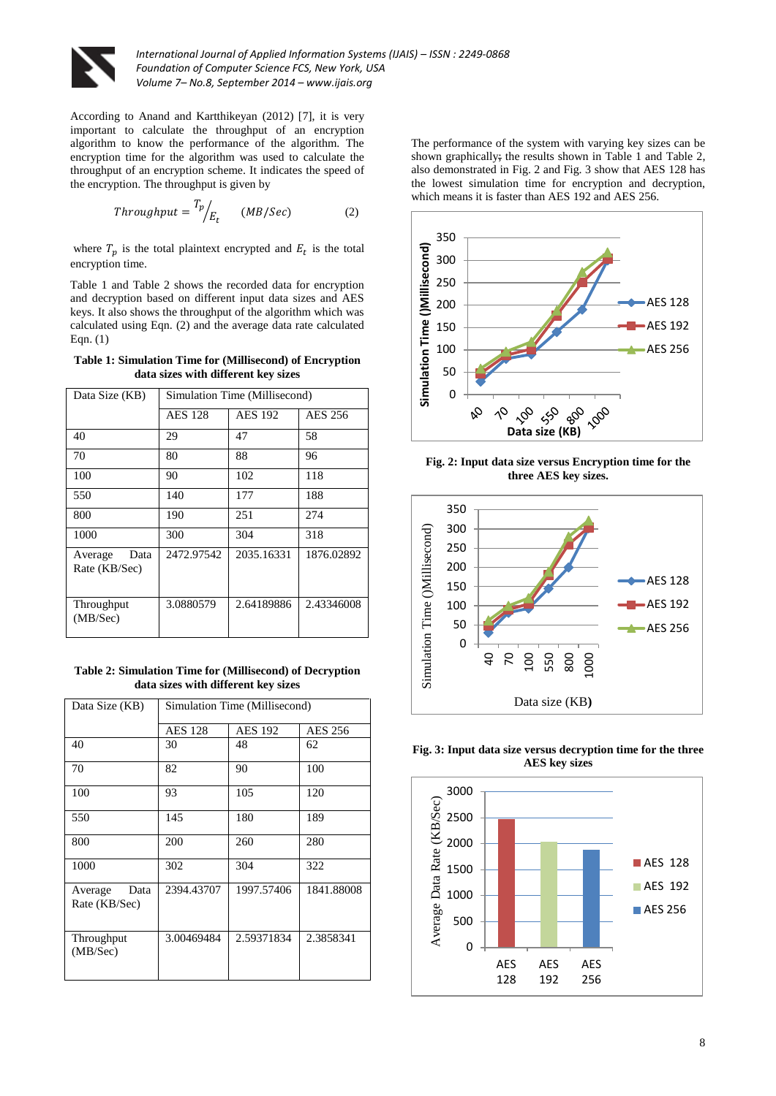

According to Anand and Kartthikeyan (2012) [7], it is very important to calculate the throughput of an encryption algorithm to know the performance of the algorithm. The encryption time for the algorithm was used to calculate the throughput of an encryption scheme. It indicates the speed of the encryption. The throughput is given by

$$
Throughput = \frac{T_p}{E_t} \qquad (MB/Sec) \tag{2}
$$

where  $T_n$  is the total plaintext encrypted and  $E_t$  is the total encryption time.

Table 1 and Table 2 shows the recorded data for encryption and decryption based on different input data sizes and AES keys. It also shows the throughput of the algorithm which was calculated using Eqn. (2) and the average data rate calculated Eqn. (1)

| Table 1: Simulation Time for (Millisecond) of Encryption |
|----------------------------------------------------------|
| data sizes with different key sizes                      |

| Data Size (KB)                   | Simulation Time (Millisecond) |                |            |
|----------------------------------|-------------------------------|----------------|------------|
|                                  | <b>AES</b> 128                | <b>AES 192</b> | AES 256    |
| 40                               | 29                            | 47             | 58         |
| 70                               | 80                            | 88             | 96         |
| 100                              | 90                            | 102            | 118        |
| 550                              | 140                           | 177            | 188        |
| 800                              | 190                           | 251            | 274        |
| 1000                             | 300                           | 304            | 318        |
| Average<br>Data<br>Rate (KB/Sec) | 2472.97542                    | 2035.16331     | 1876.02892 |
| Throughput<br>(MB/Sec)           | 3.0880579                     | 2.64189886     | 2.43346008 |

**Table 2: Simulation Time for (Millisecond) of Decryption data sizes with different key sizes**

| Data Size (KB)                   | Simulation Time (Millisecond) |                |                |
|----------------------------------|-------------------------------|----------------|----------------|
|                                  | <b>AES 128</b>                | <b>AES 192</b> | <b>AES 256</b> |
| 40                               | 30                            | 48             | 62             |
| 70                               | 82                            | 90             | 100            |
| 100                              | 93                            | 105            | 120            |
| 550                              | 145                           | 180            | 189            |
| 800                              | 200                           | 260            | 280            |
| 1000                             | 302                           | 304            | 322            |
| Data<br>Average<br>Rate (KB/Sec) | 2394.43707                    | 1997.57406     | 1841.88008     |
| Throughput<br>(MB/Sec)           | 3.00469484                    | 2.59371834     | 2.3858341      |

The performance of the system with varying key sizes can be shown graphically; the results shown in Table 1 and Table 2, also demonstrated in Fig. 2 and Fig. 3 show that AES 128 has the lowest simulation time for encryption and decryption, which means it is faster than AES 192 and AES 256.



**Fig. 2: Input data size versus Encryption time for the three AES key sizes.**



**Fig. 3: Input data size versus decryption time for the three AES key sizes**

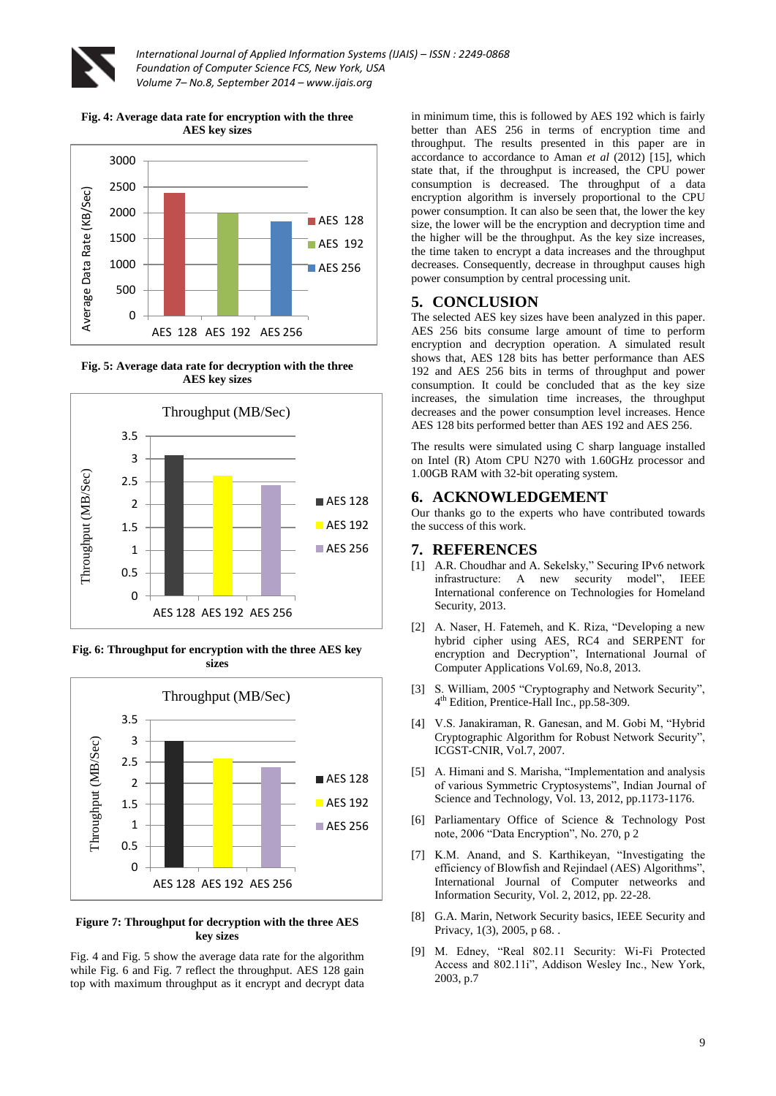

**Fig. 4: Average data rate for encryption with the three AES key sizes**



**Fig. 5: Average data rate for decryption with the three AES key sizes**



**Fig. 6: Throughput for encryption with the three AES key sizes**



#### **Figure 7: Throughput for decryption with the three AES key sizes**

Fig. 4 and Fig. 5 show the average data rate for the algorithm while Fig. 6 and Fig. 7 reflect the throughput. AES 128 gain top with maximum throughput as it encrypt and decrypt data

in minimum time, this is followed by AES 192 which is fairly better than AES 256 in terms of encryption time and throughput. The results presented in this paper are in accordance to accordance to Aman *et al* (2012) [15], which state that, if the throughput is increased, the CPU power consumption is decreased. The throughput of a data encryption algorithm is inversely proportional to the CPU power consumption. It can also be seen that, the lower the key size, the lower will be the encryption and decryption time and the higher will be the throughput. As the key size increases, the time taken to encrypt a data increases and the throughput decreases. Consequently, decrease in throughput causes high power consumption by central processing unit.

### **5. CONCLUSION**

The selected AES key sizes have been analyzed in this paper. AES 256 bits consume large amount of time to perform encryption and decryption operation. A simulated result shows that, AES 128 bits has better performance than AES 192 and AES 256 bits in terms of throughput and power consumption. It could be concluded that as the key size increases, the simulation time increases, the throughput decreases and the power consumption level increases. Hence AES 128 bits performed better than AES 192 and AES 256.

The results were simulated using C sharp language installed on Intel (R) Atom CPU N270 with 1.60GHz processor and 1.00GB RAM with 32-bit operating system.

## **6. ACKNOWLEDGEMENT**

Our thanks go to the experts who have contributed towards the success of this work.

## **7. REFERENCES**

- [1] A.R. Choudhar and A. Sekelsky," Securing IPv6 network infrastructure: A new security model", IEEE International conference on Technologies for Homeland Security, 2013.
- [2] A. Naser, H. Fatemeh, and K. Riza, "Developing a new hybrid cipher using AES, RC4 and SERPENT for encryption and Decryption", International Journal of Computer Applications Vol.69, No.8*,* 2013.
- [3] S. William, 2005 "Cryptography and Network Security", 4 th Edition, Prentice-Hall Inc., pp.58-309.
- [4] V.S. Janakiraman, R. Ganesan, and M. Gobi M, "Hybrid Cryptographic Algorithm for Robust Network Security", ICGST-CNIR, Vol.7, 2007.
- [5] A. Himani and S. Marisha, "Implementation and analysis of various Symmetric Cryptosystems", Indian Journal of Science and Technology, Vol. 13, 2012, pp.1173-1176.
- [6] Parliamentary Office of Science & Technology Post note, 2006 "Data Encryption", No. 270, p 2
- [7] K.M. Anand, and S. Karthikeyan, "Investigating the efficiency of Blowfish and Rejindael (AES) Algorithms", International Journal of Computer netweorks and Information Security, Vol. 2, 2012, pp. 22-28.
- [8] G.A. Marin, Network Security basics, IEEE Security and Privacy, 1(3), 2005, p 68. .
- [9] M. Edney, "Real 802.11 Security: Wi-Fi Protected Access and 802.11i", Addison Wesley Inc., New York, 2003, p.7